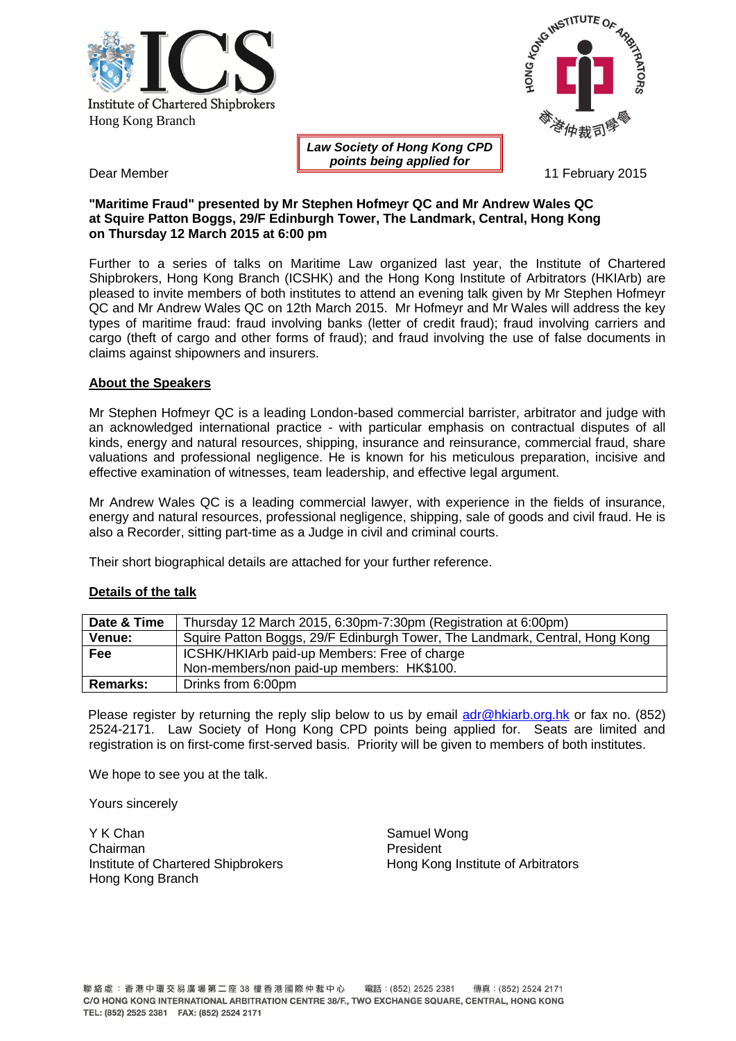

**Institute of Chartered Shipbrokers** Hong Kong Branch



*Law Society of Hong Kong CPD points being applied for*

Dear Member **11 February 2015 Contract to the Contract of the Contract of the Contract of the Contract of the Contract of the Contract of the Contract of the Contract of the Contract of the Contract of the Contract of th** 

#### **"Maritime Fraud" presented by Mr Stephen Hofmeyr QC and Mr Andrew Wales QC at Squire Patton Boggs, 29/F Edinburgh Tower, The Landmark, Central, Hong Kong on Thursday 12 March 2015 at 6:00 pm**

Further to a series of talks on Maritime Law organized last year, the Institute of Chartered Shipbrokers, Hong Kong Branch (ICSHK) and the Hong Kong Institute of Arbitrators (HKIArb) are pleased to invite members of both institutes to attend an evening talk given by Mr Stephen Hofmeyr QC and Mr Andrew Wales QC on 12th March 2015. Mr Hofmeyr and Mr Wales will address the key types of maritime fraud: fraud involving banks (letter of credit fraud); fraud involving carriers and cargo (theft of cargo and other forms of fraud); and fraud involving the use of false documents in claims against shipowners and insurers.

### **About the Speakers**

Mr Stephen Hofmeyr QC is a leading London-based commercial barrister, arbitrator and judge with an acknowledged international practice - with particular emphasis on contractual disputes of all kinds, energy and natural resources, shipping, insurance and reinsurance, commercial fraud, share valuations and professional negligence. He is known for his meticulous preparation, incisive and effective examination of witnesses, team leadership, and effective legal argument.

Mr Andrew Wales QC is a leading commercial lawyer, with experience in the fields of insurance, energy and natural resources, professional negligence, shipping, sale of goods and civil fraud. He is also a Recorder, sitting part-time as a Judge in civil and criminal courts.

Their short biographical details are attached for your further reference.

### **Details of the talk**

| Date & Time | Thursday 12 March 2015, 6:30pm-7:30pm (Registration at 6:00pm)              |
|-------------|-----------------------------------------------------------------------------|
| Venue:      | Squire Patton Boggs, 29/F Edinburgh Tower, The Landmark, Central, Hong Kong |
| <b>Fee</b>  | ICSHK/HKIArb paid-up Members: Free of charge                                |
|             | Non-members/non paid-up members: HK\$100.                                   |
| Remarks:    | Drinks from 6:00pm                                                          |

Please register by returning the reply slip below to us by email [adr@hkiarb.org.hk](mailto:adr@hkiarb.org.hk) or fax no. (852) 2524-2171. Law Society of Hong Kong CPD points being applied for. Seats are limited and registration is on first-come first-served basis. Priority will be given to members of both institutes.

We hope to see you at the talk.

Yours sincerely

Y K Chan Samuel Wong Chairman **President** Institute of Chartered Shipbrokers **Hong Kong Institute of Arbitrators** Hong Kong Branch